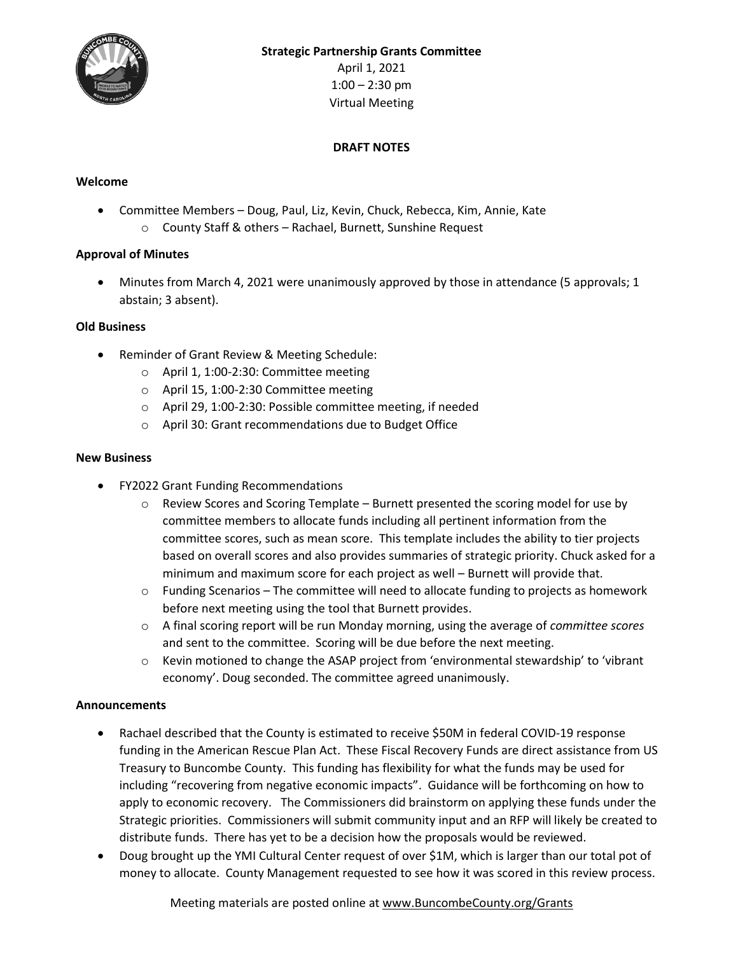

April 1, 2021  $1:00 - 2:30$  pm Virtual Meeting

## **DRAFT NOTES**

### **Welcome**

 Committee Members – Doug, Paul, Liz, Kevin, Chuck, Rebecca, Kim, Annie, Kate o County Staff & others – Rachael, Burnett, Sunshine Request

### **Approval of Minutes**

 Minutes from March 4, 2021 were unanimously approved by those in attendance (5 approvals; 1 abstain; 3 absent).

### **Old Business**

- Reminder of Grant Review & Meeting Schedule:
	- o April 1, 1:00-2:30: Committee meeting
	- o April 15, 1:00-2:30 Committee meeting
	- o April 29, 1:00-2:30: Possible committee meeting, if needed
	- o April 30: Grant recommendations due to Budget Office

### **New Business**

- FY2022 Grant Funding Recommendations
	- $\circ$  Review Scores and Scoring Template Burnett presented the scoring model for use by committee members to allocate funds including all pertinent information from the committee scores, such as mean score. This template includes the ability to tier projects based on overall scores and also provides summaries of strategic priority. Chuck asked for a minimum and maximum score for each project as well – Burnett will provide that.
	- $\circ$  Funding Scenarios The committee will need to allocate funding to projects as homework before next meeting using the tool that Burnett provides.
	- o A final scoring report will be run Monday morning, using the average of *committee scores* and sent to the committee. Scoring will be due before the next meeting.
	- o Kevin motioned to change the ASAP project from 'environmental stewardship' to 'vibrant economy'. Doug seconded. The committee agreed unanimously.

# **Announcements**

- Rachael described that the County is estimated to receive \$50M in federal COVID-19 response funding in the American Rescue Plan Act. These Fiscal Recovery Funds are direct assistance from US Treasury to Buncombe County. This funding has flexibility for what the funds may be used for including "recovering from negative economic impacts". Guidance will be forthcoming on how to apply to economic recovery. The Commissioners did brainstorm on applying these funds under the Strategic priorities. Commissioners will submit community input and an RFP will likely be created to distribute funds. There has yet to be a decision how the proposals would be reviewed.
- Doug brought up the YMI Cultural Center request of over \$1M, which is larger than our total pot of money to allocate. County Management requested to see how it was scored in this review process.

Meeting materials are posted online a[t www.BuncombeCounty.org/Grants](http://www.buncombecounty.org/Grants)